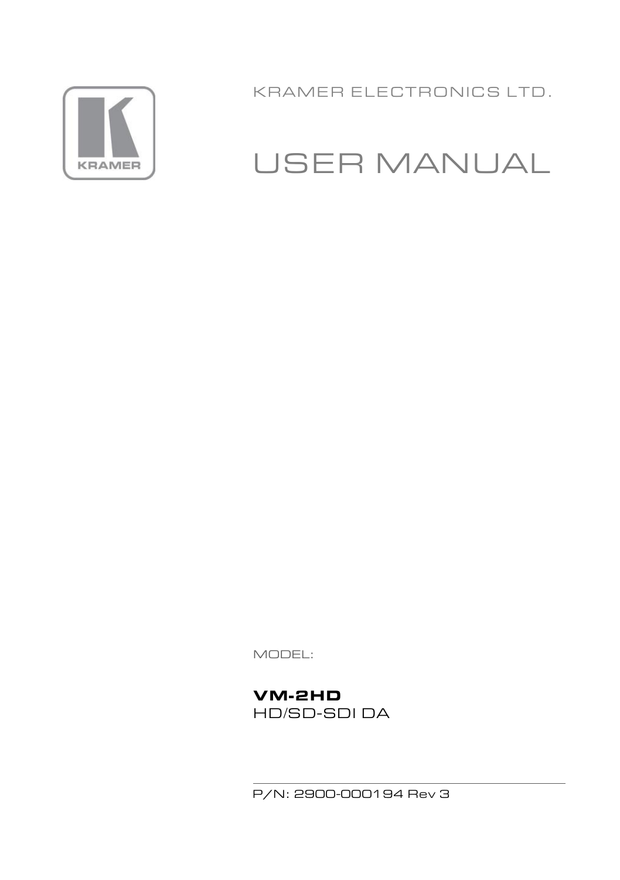

KRAMER ELECTRONICS LTD.

# USER MANUAL

MODEL:

**VM-2HD** HD/SD-SDI DA

P/N: 2900-000194 Rev 3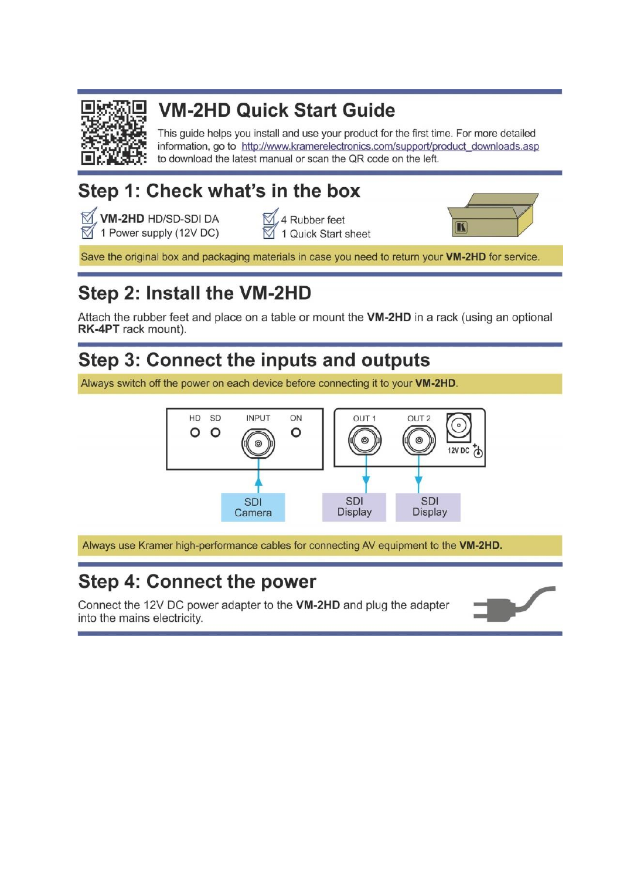

## **VM-2HD Quick Start Guide**

This guide helps you install and use your product for the first time. For more detailed information, go to http://www.kramerelectronics.com/support/product\_downloads.asp to download the latest manual or scan the OR code on the left.

## Step 1: Check what's in the box

M. VM-2HD HD/SD-SDI DA  $\boxtimes$  1 Power supply (12V DC)

Rubber feet 1 Quick Start sheet



Save the original box and packaging materials in case you need to return your VM-2HD for service

## Step 2: Install the VM-2HD

Attach the rubber feet and place on a table or mount the VM-2HD in a rack (using an optional RK-4PT rack mount).

## Step 3: Connect the inputs and outputs

Always switch off the power on each device before connecting it to your VM-2HD.



Always use Kramer high-performance cables for connecting AV equipment to the VM-2HD.

### Step 4: Connect the power

Connect the 12V DC power adapter to the VM-2HD and plug the adapter into the mains electricity.

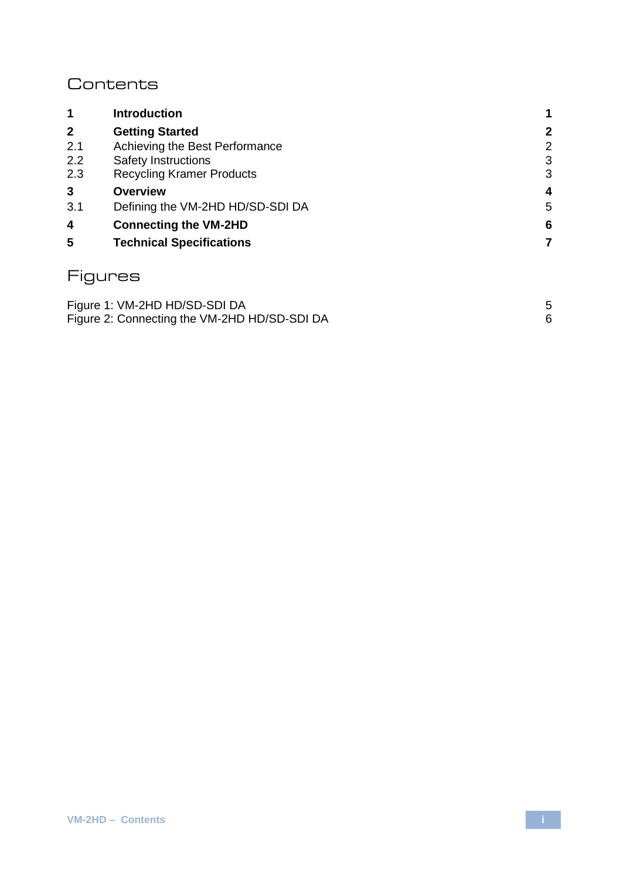### **Contents**

| 1            | <b>Introduction</b>              |             |
|--------------|----------------------------------|-------------|
| $\mathbf{2}$ | <b>Getting Started</b>           | $\mathbf 2$ |
| 2.1          | Achieving the Best Performance   | 2           |
| 2.2          | Safety Instructions              | 3           |
| 2.3          | <b>Recycling Kramer Products</b> | 3           |
| 3            | Overview                         | 4           |
| 3.1          | Defining the VM-2HD HD/SD-SDI DA | 5           |
| 4            | <b>Connecting the VM-2HD</b>     | 6           |
| 5            | <b>Technical Specifications</b>  | 7           |
|              | ures                             |             |

| Figure 1: VM-2HD HD/SD-SDI DA                |  |
|----------------------------------------------|--|
| Figure 2: Connecting the VM-2HD HD/SD-SDI DA |  |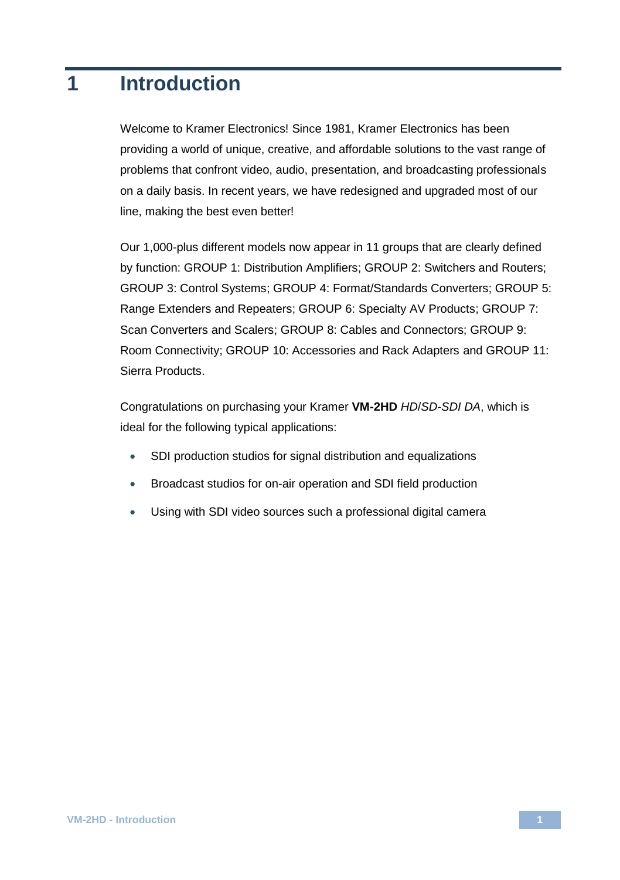## <span id="page-3-0"></span>**1 Introduction**

Welcome to Kramer Electronics! Since 1981, Kramer Electronics has been providing a world of unique, creative, and affordable solutions to the vast range of problems that confront video, audio, presentation, and broadcasting professionals on a daily basis. In recent years, we have redesigned and upgraded most of our line, making the best even better!

Our 1,000-plus different models now appear in 11 groups that are clearly defined by function: GROUP 1: Distribution Amplifiers; GROUP 2: Switchers and Routers; GROUP 3: Control Systems; GROUP 4: Format/Standards Converters; GROUP 5: Range Extenders and Repeaters; GROUP 6: Specialty AV Products; GROUP 7: Scan Converters and Scalers; GROUP 8: Cables and Connectors; GROUP 9: Room Connectivity; GROUP 10: Accessories and Rack Adapters and GROUP 11: Sierra Products.

Congratulations on purchasing your Kramer **VM-2HD** *HD*/*SD-SDI DA*, which is ideal for the following typical applications:

- SDI production studios for signal distribution and equalizations
- Broadcast studios for on-air operation and SDI field production
- Using with SDI video sources such a professional digital camera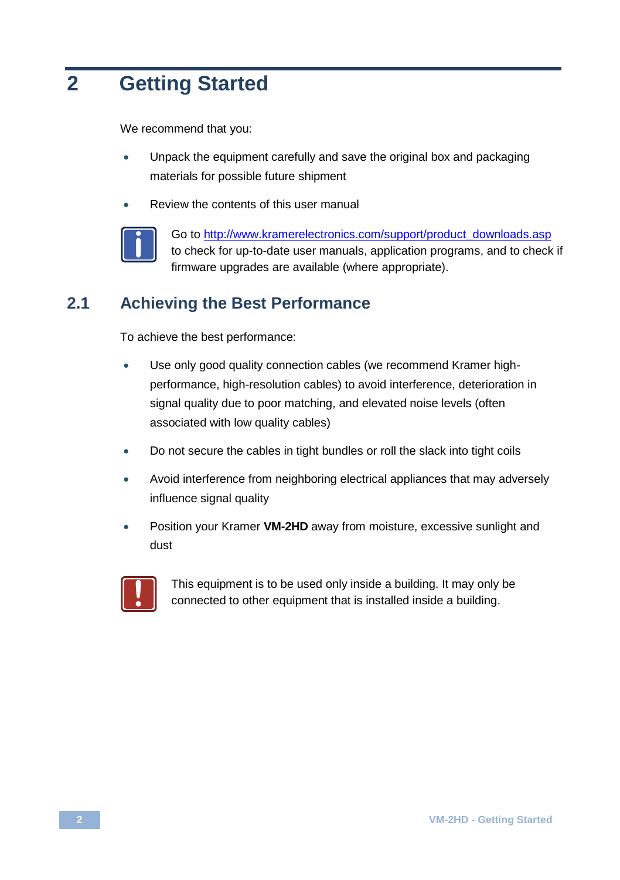## <span id="page-4-0"></span>**2 Getting Started**

We recommend that you:

- Unpack the equipment carefully and save the original box and packaging materials for possible future shipment
- Review the contents of this user manual



Go to [http://www.kramerelectronics.com/support/product\\_downloads.asp](http://www.kramerelectronics.com/support/product_downloads.asp) to check for up-to-date user manuals, application programs, and to check if firmware upgrades are available (where appropriate).

### <span id="page-4-1"></span>**2.1 Achieving the Best Performance**

To achieve the best performance:

- Use only good quality connection cables (we recommend Kramer highperformance, high-resolution cables) to avoid interference, deterioration in signal quality due to poor matching, and elevated noise levels (often associated with low quality cables)
- Do not secure the cables in tight bundles or roll the slack into tight coils
- Avoid interference from neighboring electrical appliances that may adversely influence signal quality
- Position your Kramer **VM-2HD** away from moisture, excessive sunlight and dust



This equipment is to be used only inside a building. It may only be connected to other equipment that is installed inside a building.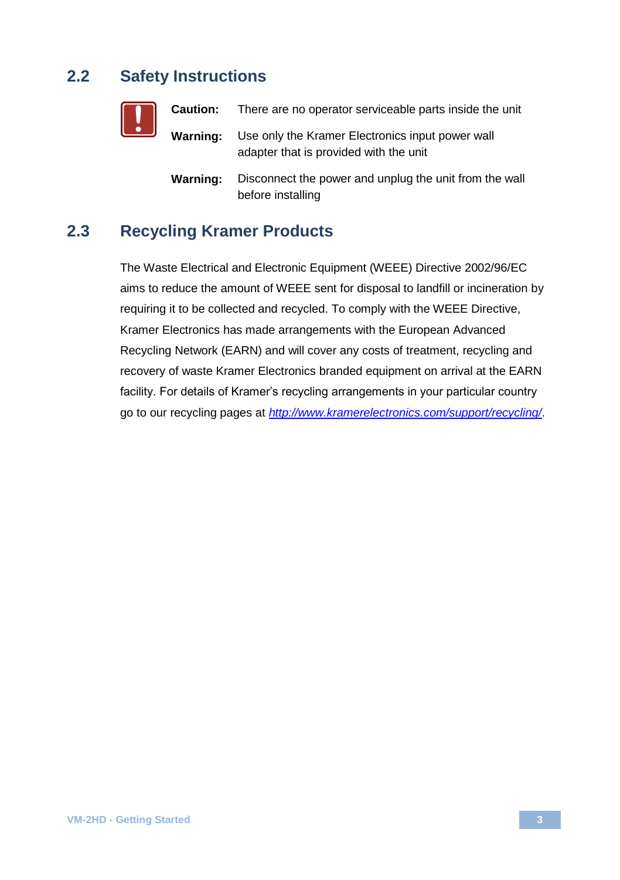### <span id="page-5-0"></span>**2.2 Safety Instructions**

| <u> </u> |          | <b>Caution:</b> There are no operator serviceable parts inside the unit                    |
|----------|----------|--------------------------------------------------------------------------------------------|
|          | Warning: | Use only the Kramer Electronics input power wall<br>adapter that is provided with the unit |
|          | Warning: | Disconnect the power and unplug the unit from the wall<br>before installing                |

### <span id="page-5-1"></span>**2.3 Recycling Kramer Products**

The Waste Electrical and Electronic Equipment (WEEE) Directive 2002/96/EC aims to reduce the amount of WEEE sent for disposal to landfill or incineration by requiring it to be collected and recycled. To comply with the WEEE Directive, Kramer Electronics has made arrangements with the European Advanced Recycling Network (EARN) and will cover any costs of treatment, recycling and recovery of waste Kramer Electronics branded equipment on arrival at the EARN facility. For details of Kramer's recycling arrangements in your particular country go to our recycling pages at *<http://www.kramerelectronics.com/support/recycling/>*.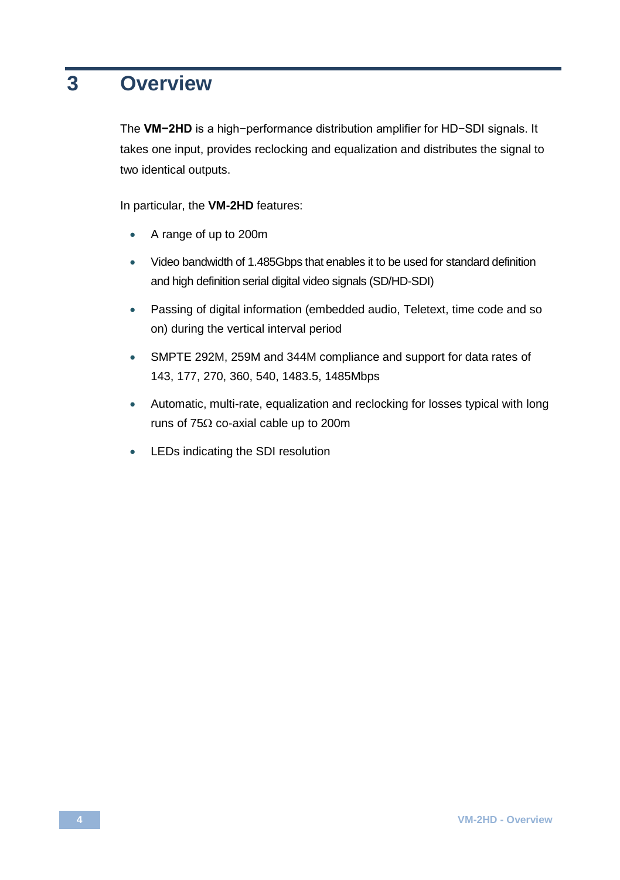## <span id="page-6-0"></span>**3 Overview**

The **VM−2HD** is a high−performance distribution amplifier for HD−SDI signals. It takes one input, provides reclocking and equalization and distributes the signal to two identical outputs.

In particular, the **VM-2HD** features:

- A range of up to 200m
- Video bandwidth of 1.485Gbps that enables it to be used for standard definition and high definition serial digital video signals (SD/HD-SDI)
- Passing of digital information (embedded audio, Teletext, time code and so on) during the vertical interval period
- SMPTE 292M, 259M and 344M compliance and support for data rates of 143, 177, 270, 360, 540, 1483.5, 1485Mbps
- Automatic, multi-rate, equalization and reclocking for losses typical with long runs of 75 $\Omega$  co-axial cable up to 200m
- LEDs indicating the SDI resolution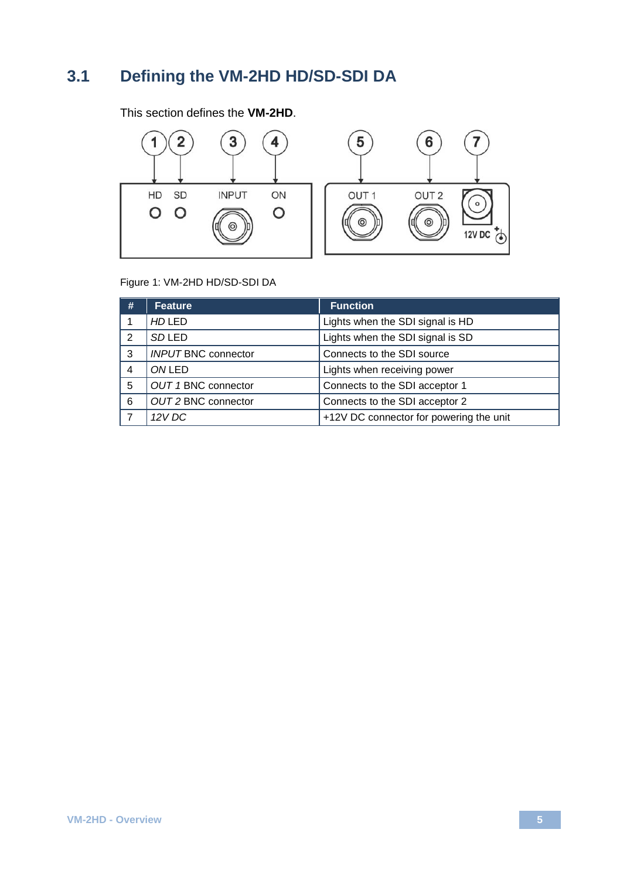### <span id="page-7-0"></span>**3.1 Defining the VM-2HD HD/SD-SDI DA**

This section defines the **VM-2HD**.



### <span id="page-7-1"></span>Figure 1: VM-2HD HD/SD-SDI DA

| # | Feature                    | <b>Function</b>                         |
|---|----------------------------|-----------------------------------------|
|   | <b>HD LED</b>              | Lights when the SDI signal is HD        |
| 2 | <b>SDLED</b>               | Lights when the SDI signal is SD        |
| 3 | <b>INPUT BNC connector</b> | Connects to the SDI source              |
| 4 | ONLED                      | Lights when receiving power             |
| 5 | OUT 1 BNC connector        | Connects to the SDI acceptor 1          |
| 6 | OUT 2 BNC connector        | Connects to the SDI acceptor 2          |
|   | 12 V DC                    | +12V DC connector for powering the unit |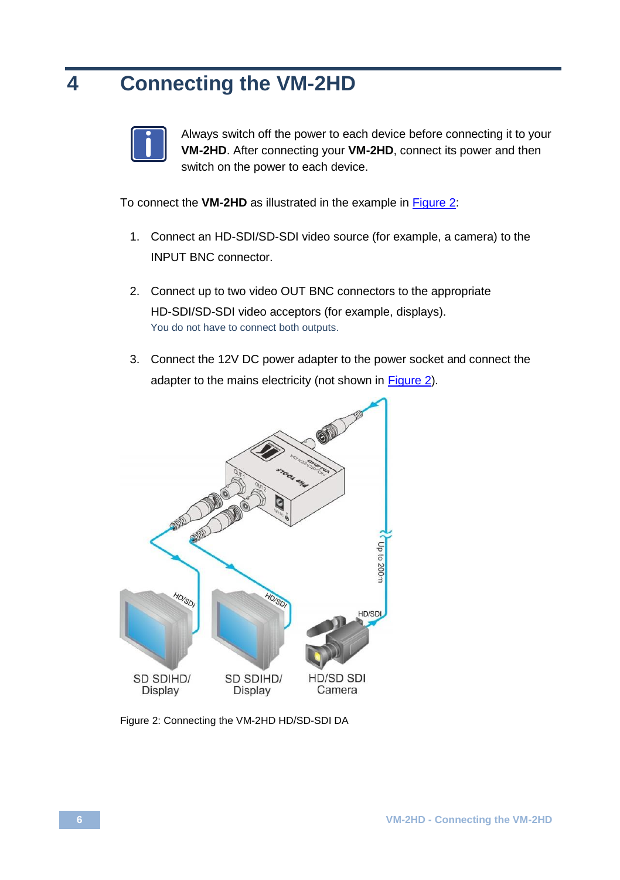## <span id="page-8-0"></span>**4 Connecting the VM-2HD**



Always switch off the power to each device before connecting it to your **VM-2HD**. After connecting your **VM-2HD**, connect its power and then switch on the power to each device.

To connect the **VM-2HD** as illustrated in the example in [Figure 2:](#page-8-1)

- 1. Connect an HD-SDI/SD-SDI video source (for example, a camera) to the INPUT BNC connector.
- 2. Connect up to two video OUT BNC connectors to the appropriate HD-SDI/SD-SDI video acceptors (for example, displays). You do not have to connect both outputs.
- 3. Connect the 12V DC power adapter to the power socket and connect the adapter to the mains electricity (not shown i[n Figure 2\)](#page-8-1).



<span id="page-8-1"></span>Figure 2: Connecting the VM-2HD HD/SD-SDI DA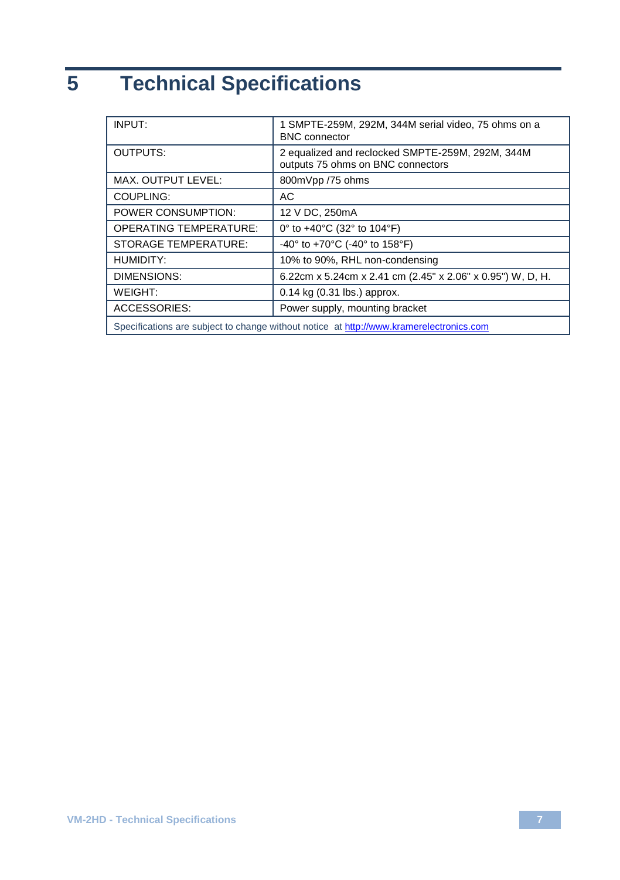# <span id="page-9-0"></span>**5 Technical Specifications**

| INPUT:                                                                                  | 1 SMPTE-259M, 292M, 344M serial video, 75 ohms on a<br><b>BNC</b> connector           |  |
|-----------------------------------------------------------------------------------------|---------------------------------------------------------------------------------------|--|
| <b>OUTPUTS:</b>                                                                         | 2 equalized and reclocked SMPTE-259M, 292M, 344M<br>outputs 75 ohms on BNC connectors |  |
| MAX. OUTPUT LEVEL:                                                                      | 800mVpp /75 ohms                                                                      |  |
| COUPLING:                                                                               | AC                                                                                    |  |
| POWER CONSUMPTION:                                                                      | 12 V DC, 250mA                                                                        |  |
| <b>OPERATING TEMPERATURE:</b>                                                           | 0° to $+40^{\circ}$ C (32° to 104°F)                                                  |  |
| <b>STORAGE TEMPERATURE:</b>                                                             | -40° to +70°C (-40° to 158°F)                                                         |  |
| <b>HUMIDITY:</b>                                                                        | 10% to 90%, RHL non-condensing                                                        |  |
| DIMENSIONS:                                                                             | 6.22cm x 5.24cm x 2.41 cm (2.45" x 2.06" x 0.95") W, D, H.                            |  |
| WEIGHT:                                                                                 | $0.14$ kg (0.31 lbs.) approx.                                                         |  |
| <b>ACCESSORIES:</b>                                                                     | Power supply, mounting bracket                                                        |  |
| Specifications are subject to change without notice at http://www.kramerelectronics.com |                                                                                       |  |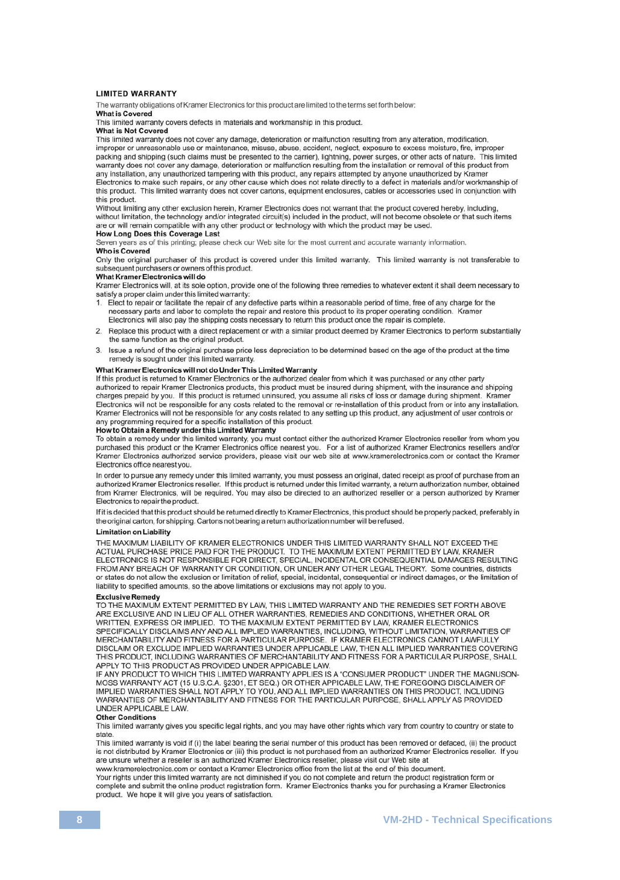#### **LIMITED WARRANTY**

The warranty obligations of Kramer Electronics for this product are limited to the terms set forth below:

#### What is Covered

This limited warranty covers defects in materials and workmanship in this product.

#### What is Not Covered

This limited warranty does not cover any damage, deterioration or malfunction resulting from any alteration, modification, improper or unreasonable use or maintenance, misuse, abuse, accident, neglect, exposure to excess moisture, fire, improper packing and shipping (such claims must be presented to the carrier), lightning, power surges, or other acts of nature. This limited warranty does not cover any damage, deterioration or malfunction resulting from the installation or removal of this product from any installation, any unauthorized tampering with this product, any repairs attempted by anyone unauthorized by Kramer Electronics to make such repairs, or any other cause which does not relate directly to a defect in materials and/or workmanship of this product. This limited warranty does not cover cartons, equipment enclosures, cables or accessories used in conjunction with this product.

Without limiting any other exclusion herein, Kramer Electronics does not warrant that the product covered hereby, including without limitation, the technology and/or integrated circuit(s) included in the product, will not become obsolete or that such items are or will remain compatible with any other product or technology with which the product may be used.

#### **How Long Does this Coverage Last**

Seven years as of this printing; please check our Web site for the most current and accurate warranty information. Who is Covered

Only the original purchaser of this product is covered under this limited warranty. This limited warranty is not transferable to subsequent purchasers or owners of this product.

#### What Kramer Flectronics will do

Kramer Electronics will, at its sole option, provide one of the following three remedies to whatever extent it shall deem necessary to satisfy a proper claim under this limited warranty:

- 1. Elect to repair or facilitate the repair of any defective parts within a reasonable period of time, free of any charge for the necessary parts and labor to complete the repair and restore this product to its proper operating condition. Kramer Electronics will also pay the shipping costs necessary to return this product once the repair is complete.
- 2. Replace this product with a direct replacement or with a similar product deemed by Kramer Electronics to perform substantially the same function as the original product.
- 3. Issue a refund of the original purchase price less depreciation to be determined based on the age of the product at the time remedy is sought under this limited warranty.

### What Kramer Electronics will not do Under This Limited Warranty

If this product is returned to Kramer Electronics or the authorized dealer from which it was purchased or any other party authorized to repair Kramer Electronics products, this product must be insured during shipment, with the insurance and shipping charges prepaid by you. If this product is returned uninsured, you assume all risks of loss or damage during shipment. Kramer Electronics will not be responsible for any costs related to the removal or re-installation of this product from or into any installation. Kramer Electronics will not be responsible for any costs related to any setting up this product, any adjustment of user controls or any programming required for a specific installation of this product.

#### How to Obtain a Remedy under this Limited Warranty

To obtain a remedy under this limited warranty, you must contact either the authorized Kramer Electronics reseller from whom you purchased this product or the Kramer Electronics office nearest you. For a list of authorized Kramer Electronics resellers and/or<br>Kramer Electronics authorized service providers, please visit our web site at www.kramerelec Electronics office nearest you.

In order to pursue any remedy under this limited warranty, you must possess an original, dated receipt as proof of purchase from an authorized Kramer Electronics reseller. If this product is returned under this limited warranty, a return authorization number, obtained from Kramer Electronics, will be required. You may also be directed to an authorized reseller or a person authorized by Kramer Electronics to repair the product.

If it is decided that this product should be returned directly to Kramer Electronics, this product should be properly packed, preferably in the original carton, for shipping. Cartons not bearing a return authorization number will be refused.

#### Limitation on Liability

THE MAXIMUM LIABILITY OF KRAMER ELECTRONICS UNDER THIS LIMITED WARRANTY SHALL NOT EXCEED THE ACTUAL PURCHASE PRICE PAID FOR THE PRODUCT. TO THE MAXIMUM EXTENT PERMITTED BY LAW, KRAMER ELECTRONICS IS NOT RESPONSIBLE FOR DIRECT, SPECIAL, INCIDENTAL OR CONSEQUENTIAL DAMAGES RESULTING FROM ANY BREACH OF WARRANTY OR CONDITION, OR UNDER ANY OTHER LEGAL THEORY. Some countries, districts or states do not allow the exclusion or limitation of relief, special, incidental, consequential or indirect damages, or the limitation of liability to specified amounts, so the above limitations or exclusions may not apply to you.

Exclusive Remedy<br>TO THE MAXIMUM EXTENT PERMITTED BY LAW, THIS LIMITED WARRANTY AND THE REMEDIES SET FORTH ABOVE ARE EXCLUSIVE AND IN LIEU OF ALL OTHER WARRANTIES, REMEDIES AND CONDITIONS, WHETHER ORAL OR WRITTEN, EXPRESS OR IMPLIED. TO THE MAXIMUM EXTENT PERMITTED BY LAW, KRAMER ELECTRONICS SPECIFICALLY DISCLAIMS ANY AND ALL IMPLIED WARRANTIES, INCLUDING, WITHOUT LIMITATION, WARRANTIES OF MERCHANTABILITY AND FITNESS FOR A PARTICULAR PURPOSE. IF KRAMER ELECTRONICS CANNOT LAWFULLY DISCLAIM OR EXCLUDE IMPLIED WARRANTIES UNDER APPLICABLE LAW, THEN ALL IMPLIED WARRANTIES COVERING THIS PRODUCT, INCLUDING WARRANTIES OF MERCHANTABILITY AND FITNESS FOR A PARTICULAR PURPOSE, SHALL APPLY TO THIS PRODUCT AS PROVIDED UNDER APPICABLE LAW.

IF ANY PRODUCT TO WHICH THIS LIMITED WARRANTY APPLIES IS A "CONSUMER PRODUCT" UNDER THE MAGNUSON-MOSS WARRANTY ACT (15 U.S.C.A. §2301, ET SEQ.) OR OTHER APPICABLE LAW, THE FOREGOING DISCLAIMER OF IMPLIED WARRANTIES SHALL NOT APPLY TO YOU, AND ALL IMPLIED WARRANTIES ON THIS PRODUCT, INCLUDING WARRANTIES OF MERCHANTABILITY AND FITNESS FOR THE PARTICULAR PURPOSE, SHALL APPLY AS PROVIDED UNDER APPLICABLE LAW.

#### **Other Conditions**

This limited warranty gives you specific legal rights, and you may have other rights which vary from country to country or state to state

This limited warranty is void if (i) the label bearing the serial number of this product has been removed or defaced, (ii) the product is not distributed by Kramer Electronics or (iii) this product is not purchased from an authorized Kramer Electronics reseller. If you are unsure whether a reseller is an authorized Kramer Electronics reseller, please visit our Web site at www.kramerelectronics.com or contact a Kramer Electronics office from the list at the end of this document.

Your rights under this limited warranty are not diminished if you do not complete and return the product registration form or complete and submit the online product registration form. Kramer Electronics thanks you for purchasing a Kramer Electronics product. We hope it will give you years of satisfaction.